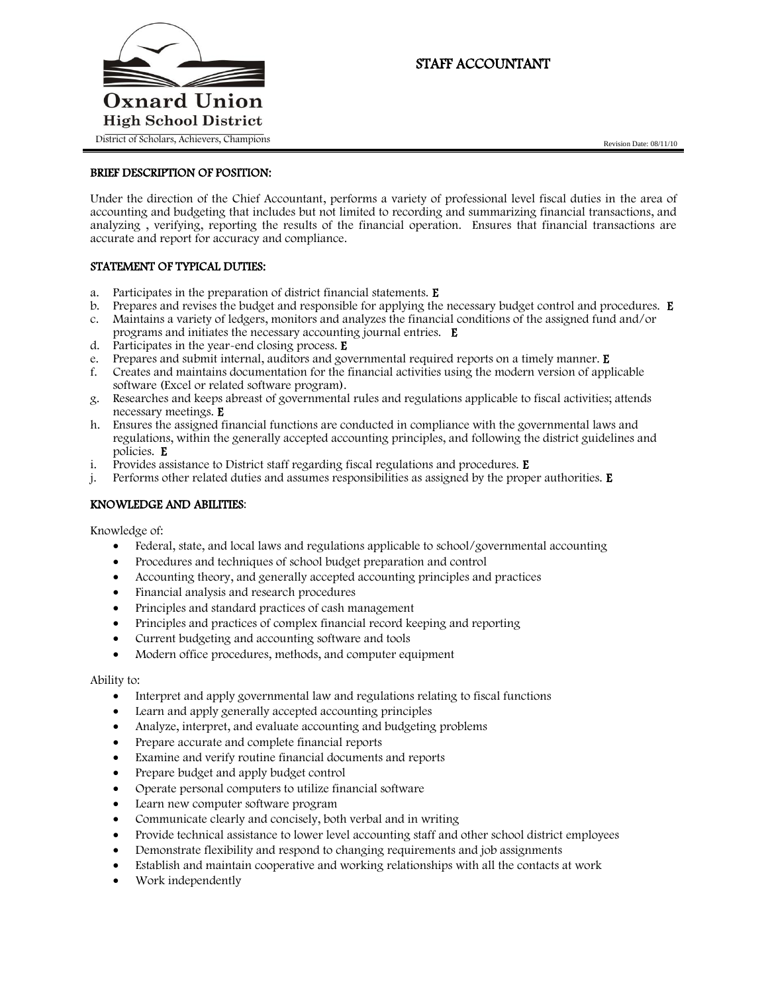

# STAFF ACCOUNTANT

## BRIEF DESCRIPTION OF POSITION:

Under the direction of the Chief Accountant, performs a variety of professional level fiscal duties in the area of accounting and budgeting that includes but not limited to recording and summarizing financial transactions, and analyzing , verifying, reporting the results of the financial operation. Ensures that financial transactions are accurate and report for accuracy and compliance.

## STATEMENT OF TYPICAL DUTIES:

- a. Participates in the preparation of district financial statements. E
- b. Prepares and revises the budget and responsible for applying the necessary budget control and procedures. E c. Maintains a variety of ledgers, monitors and analyzes the financial conditions of the assigned fund and/or
- programs and initiates the necessary accounting journal entries. E
- d. Participates in the year-end closing process. E
- e. Prepares and submit internal, auditors and governmental required reports on a timely manner. E
- f. Creates and maintains documentation for the financial activities using the modern version of applicable software (Excel or related software program).
- g. Researches and keeps abreast of governmental rules and regulations applicable to fiscal activities; attends necessary meetings. E
- h. Ensures the assigned financial functions are conducted in compliance with the governmental laws and regulations, within the generally accepted accounting principles, and following the district guidelines and policies. E
- i. Provides assistance to District staff regarding fiscal regulations and procedures. E
- j. Performs other related duties and assumes responsibilities as assigned by the proper authorities.  $E$

## KNOWLEDGE AND ABILITIES:

Knowledge of:

- Federal, state, and local laws and regulations applicable to school/governmental accounting
- Procedures and techniques of school budget preparation and control
- Accounting theory, and generally accepted accounting principles and practices
- Financial analysis and research procedures
- Principles and standard practices of cash management
- Principles and practices of complex financial record keeping and reporting
- Current budgeting and accounting software and tools
- Modern office procedures, methods, and computer equipment

#### Ability to:

- Interpret and apply governmental law and regulations relating to fiscal functions
- Learn and apply generally accepted accounting principles
- Analyze, interpret, and evaluate accounting and budgeting problems
- Prepare accurate and complete financial reports
- Examine and verify routine financial documents and reports
- Prepare budget and apply budget control
- Operate personal computers to utilize financial software
- Learn new computer software program
- Communicate clearly and concisely, both verbal and in writing
- Provide technical assistance to lower level accounting staff and other school district employees
- Demonstrate flexibility and respond to changing requirements and job assignments
- Establish and maintain cooperative and working relationships with all the contacts at work
- Work independently